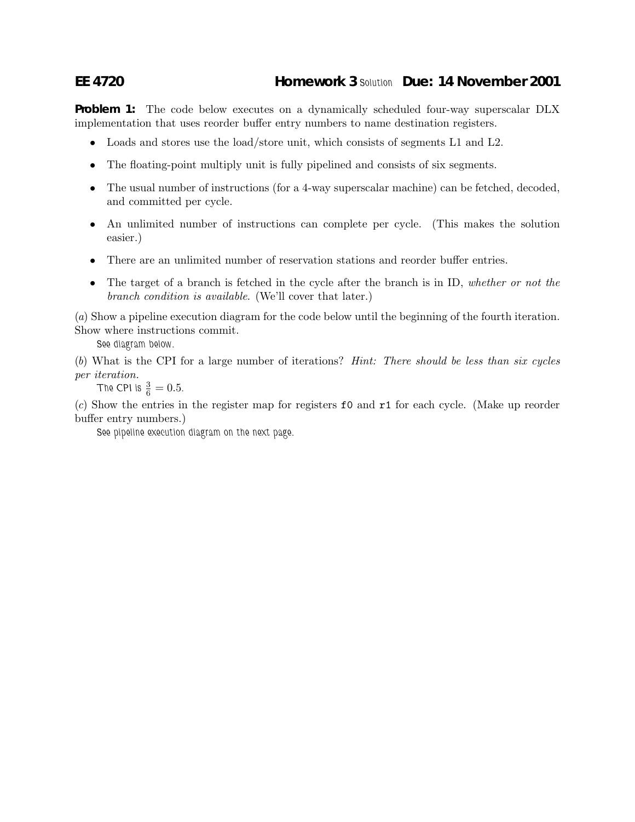## **EE 4720 Homework 3** *Solution* **Due: 14 November 2001**

**Problem 1:** The code below executes on a dynamically scheduled four-way superscalar DLX implementation that uses reorder buffer entry numbers to name destination registers.

- Loads and stores use the load/store unit, which consists of segments L1 and L2.
- The floating-point multiply unit is fully pipelined and consists of six segments.
- The usual number of instructions (for a 4-way superscalar machine) can be fetched, decoded, and committed per cycle.
- An unlimited number of instructions can complete per cycle. (This makes the solution easier.)
- There are an unlimited number of reservation stations and reorder buffer entries.
- The target of a branch is fetched in the cycle after the branch is in ID, *whether or not the branch condition is available*. (We'll cover that later.)

(*a*) Show a pipeline execution diagram for the code below until the beginning of the fourth iteration. Show where instructions commit.

*See diagram below.*

(*b*) What is the CPI for a large number of iterations? *Hint: There should be less than six cycles per iteration.*

**The CPI is**  $\frac{3}{6} = 0.5$ **.** 

(*c*) Show the entries in the register map for registers f0 and r1 for each cycle. (Make up reorder buffer entry numbers.)

*See pipeline execution diagram on the next page.*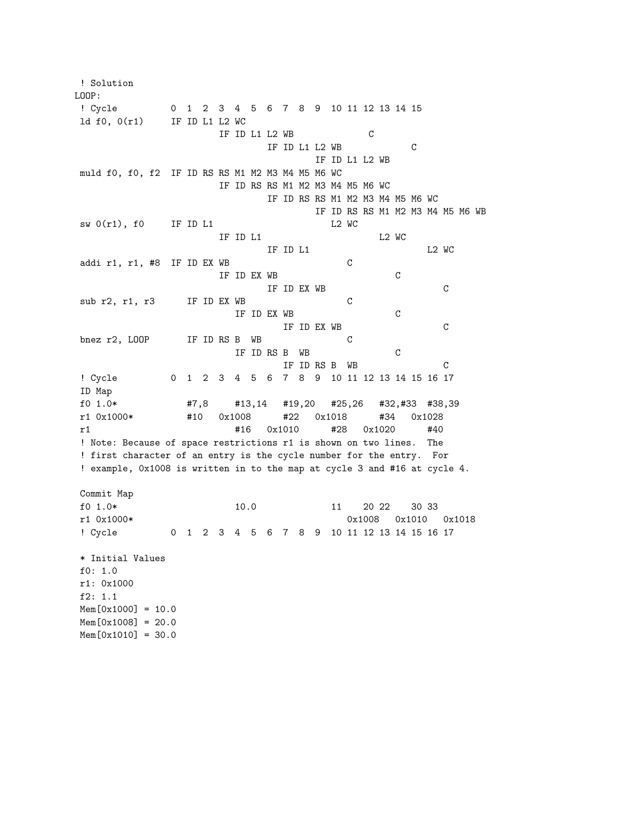! Solution LOOP: ! Cycle 0 1 2 3 4 5 6 7 8 9 10 11 12 13 14 15 ld f0, 0(r1) IF ID L1 L2 WC IF ID L1 L2 WB C IF ID L1 L2 WB C IF ID L1 L2 WB muld f0, f0, f2 IF ID RS RS M1 M2 M3 M4 M5 M6 WC IF ID RS RS M1 M2 M3 M4 M5 M6 WC IF ID RS RS M1 M2 M3 M4 M5 M6 WC IF ID RS RS M1 M2 M3 M4 M5 M6 WB  $sw 0(r1)$ , f0 IF ID L1 L2 WC IF ID L1 L2 WC IF ID L1 L2 WC addi r1, r1, #8 IF ID EX WB C IF ID EX WB C IF ID EX WB C sub r2, r1, r3 IF ID EX WB C IF ID EX WB C IF ID EX WB C bnez r2, LOOP IF ID RS B WB C IF ID RS B WB C IF ID RS B WB C ! Cycle 0 1 2 3 4 5 6 7 8 9 10 11 12 13 14 15 16 17 ID Map f0 1.0\* #7,8 #13,14 #19,20 #25,26 #32,#33 #38,39 r1 0x1000\* #10 0x1008 #22 0x1018 #34 0x1028 r1 #16 0x1010 #28 0x1020 #40 ! Note: Because of space restrictions r1 is shown on two lines. The ! first character of an entry is the cycle number for the entry. For ! example, 0x1008 is written in to the map at cycle 3 and #16 at cycle 4. Commit Map f0 1.0\* 10.0 10.0 11 20 22 30 33 r1 0x1000\* 0x1008 0x1010 0x1018 ! Cycle 0 1 2 3 4 5 6 7 8 9 10 11 12 13 14 15 16 17 \* Initial Values f0: 1.0 r1: 0x1000 f2: 1.1  $Mem[0x1000] = 10.0$  $Mem[0x1008] = 20.0$  $Mem[0x1010] = 30.0$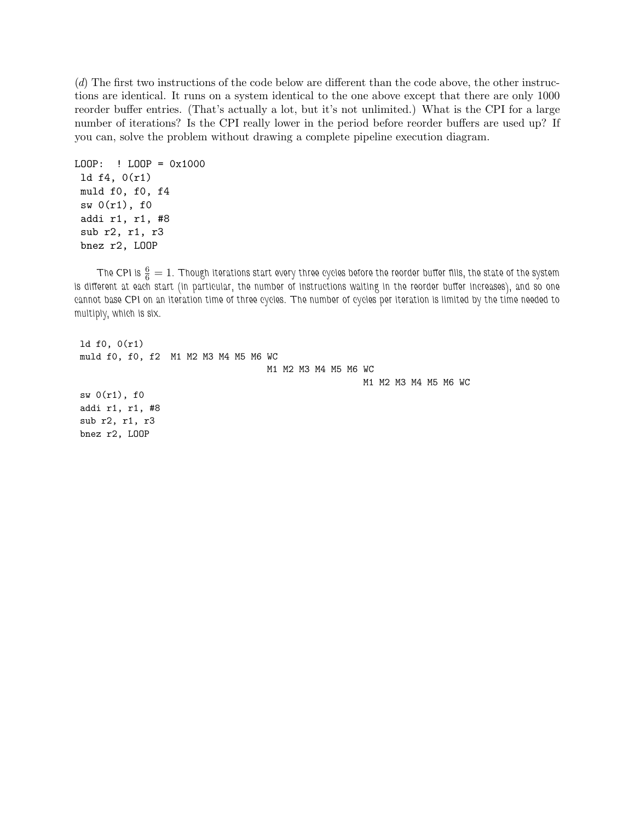(*d*) The first two instructions of the code below are different than the code above, the other instructions are identical. It runs on a system identical to the one above except that there are only 1000 reorder buffer entries. (That's actually a lot, but it's not unlimited.) What is the CPI for a large number of iterations? Is the CPI really lower in the period before reorder buffers are used up? If you can, solve the problem without drawing a complete pipeline execution diagram.

```
LOOP: ! LOOP = 0x1000
ld f4, 0(r1)
muld f0, f0, f4
sw 0(r1), f0
addi r1, r1, #8
 sub r2, r1, r3
bnez r2, LOOP
```
The CPI is  $\frac{6}{6}=1$ . Though iterations start every three cycles before the reorder buffer fills, the state of the system *is different at each start (in particular, the number of instructions waiting in the reorder buffer increases), and so one cannot base CPI on an iteration time of three cycles. The number of cycles per iteration is limited by the time needed to multiply, which is six.*

ld f0, 0(r1) muld f0, f0, f2 M1 M2 M3 M4 M5 M6 WC M1 M2 M3 M4 M5 M6 WC M1 M2 M3 M4 M5 M6 WC  $sw 0(r1)$ , f0 addi r1, r1, #8 sub r2, r1, r3 bnez r2, LOOP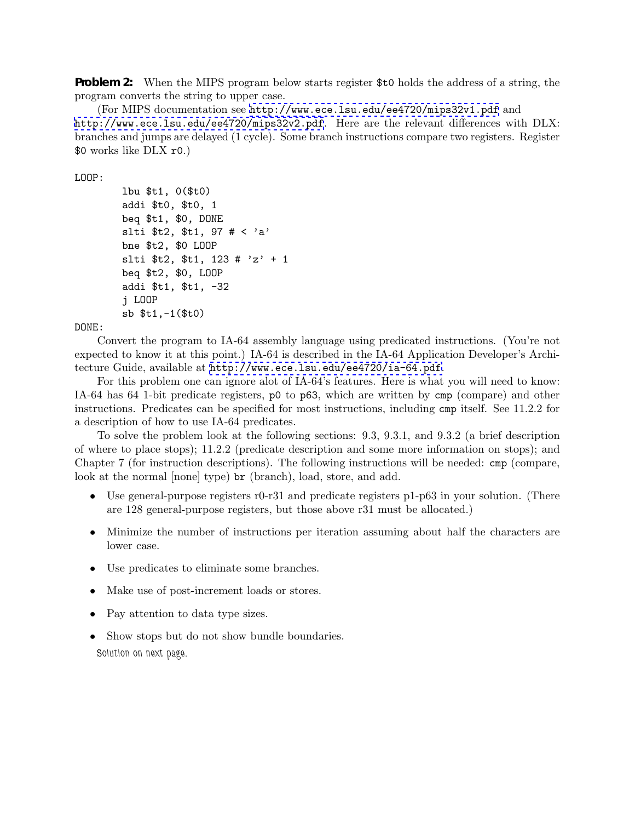**Problem 2:** When the MIPS program below starts register \$t0 holds the address of a string, the program converts the string to upper case.

(For MIPS documentation see <http://www.ece.lsu.edu/ee4720/mips32v1.pdf> and <http://www.ece.lsu.edu/ee4720/mips32v2.pdf>. Here are the relevant differences with DLX: branches and jumps are delayed (1 cycle). Some branch instructions compare two registers. Register \$0 works like DLX r0.)

LOOP:

```
lbu $t1, 0($t0)
addi $t0, $t0, 1
beq $t1, $0, DONE
slti $t2, $t1, 97 # < 'a'
bne $t2, $0 LOOP
slti t_2, t_1, 123 # 'z' + 1
beq $t2, $0, LOOP
addi $t1, $t1, -32
j LOOP
sb $t1,-1($t0)
```
DONE:

Convert the program to IA-64 assembly language using predicated instructions. (You're not expected to know it at this point.) IA-64 is described in the IA-64 Application Developer's Architecture Guide, available at <http://www.ece.lsu.edu/ee4720/ia-64.pdf>.

For this problem one can ignore alot of IA-64's features. Here is what you will need to know: IA-64 has 64 1-bit predicate registers, p0 to p63, which are written by cmp (compare) and other instructions. Predicates can be specified for most instructions, including cmp itself. See 11.2.2 for a description of how to use IA-64 predicates.

To solve the problem look at the following sections: 9.3, 9.3.1, and 9.3.2 (a brief description of where to place stops); 11.2.2 (predicate description and some more information on stops); and Chapter 7 (for instruction descriptions). The following instructions will be needed: cmp (compare, look at the normal [none] type) br (branch), load, store, and add.

- Use general-purpose registers r0-r31 and predicate registers p1-p63 in your solution. (There are 128 general-purpose registers, but those above r31 must be allocated.)
- Minimize the number of instructions per iteration assuming about half the characters are lower case.
- Use predicates to eliminate some branches.
- Make use of post-increment loads or stores.
- Pay attention to data type sizes.
- Show stops but do not show bundle boundaries. *Solution on next page.*